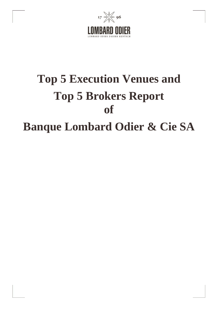

## **Top 5 Execution Venues and Top 5 Brokers Report of Banque Lombard Odier & Cie SA**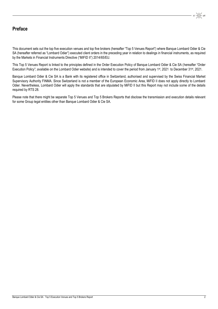## **Preface**

This document sets out the top five execution venues and top five brokers (hereafter "Top 5 Venues Report") where Banque Lombard Odier & Cie SA (hereafter referred as "Lombard Odier") executed client orders in the preceding year in relation to dealings in financial instruments, as required by the Markets in Financial Instruments Directive ("MIFID II") 2014/65/EU.

This Top 5 Venues Report is linked to the principles defined in the Order Execution Policy of Banque Lombard Odier & Cie SA (hereafter "Order Execution Policy"; available on the Lombard Odier website) and is intended to cover the period from January 1st, 2021 to December 31st, 2021.

Banque Lombard Odier & Cie SA is a Bank with its registered office in Switzerland, authorised and supervised by the Swiss Financial Market Supervisory Authority FINMA. Since Switzerland is not a member of the European Economic Area, MiFID II does not apply directly to Lombard Odier. Nevertheless, Lombard Odier will apply the standards that are stipulated by MiFID II but this Report may not include some of the details required by RTS 28.

Please note that there might be separate Top 5 Venues and Top 5 Brokers Reports that disclose the transmission and execution details relevant for some Group legal entities other than Banque Lombard Odier & Cie SA.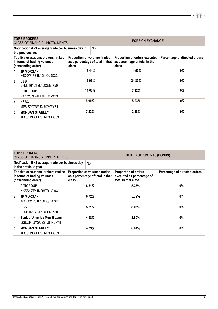| <b>TOP 5 BROKERS</b><br><b>FOREIGN EXCHANGE</b><br><b>CLASS OF FINANCIAL INSTRUMENTS</b> |                                                                           |                                                                           |     |                                                                          |                               |  |
|------------------------------------------------------------------------------------------|---------------------------------------------------------------------------|---------------------------------------------------------------------------|-----|--------------------------------------------------------------------------|-------------------------------|--|
|                                                                                          | Notification if <1 average trade per business day in<br>the previous year |                                                                           | No. |                                                                          |                               |  |
| Top five executions brokers ranked<br>In terms of trading volumes<br>(descending order)  |                                                                           | Proportion of volumes traded<br>as a percentage of total in that<br>class |     | Proportion of orders executed<br>as percentage of total in that<br>class | Percentage of directed orders |  |
| $1_{-}$                                                                                  | <b>JP MORGAN</b><br>K6Q0W1PS1L1O4IQL9C32                                  | 17.44%                                                                    |     | 14.53%                                                                   | 0%                            |  |
| 2 <sub>1</sub>                                                                           | <b>UBS</b><br>BFM8T61CT2L1QCEMIK50                                        | 16.96%                                                                    |     | 24.83%                                                                   | $0\%$                         |  |
| 3.                                                                                       | <b>CITIGROUP</b><br>XKZZ2JZF41MRHTR1V493                                  | 11.63%                                                                    |     | 7.12%                                                                    | 0%                            |  |
| 4.                                                                                       | <b>HSBC</b><br>MP615ZYZBEU3UXPYFY54                                       | 8.90%                                                                     |     | 5.53%                                                                    | 0%                            |  |
| 5.                                                                                       | <b>MORGAN STANLEY</b><br>4PQUHN3JPFGFNF3BB653                             | 7.22%                                                                     |     | 2.28%                                                                    | 0%                            |  |

|                                                                                         | <b>TOP 5 BROKERS</b><br><b>CLASS OF FINANCIAL INSTRUMENTS</b>             | <b>DEBT INSTRUMENTS (BONDS)</b>                                           |           |                                                                          |                               |  |  |
|-----------------------------------------------------------------------------------------|---------------------------------------------------------------------------|---------------------------------------------------------------------------|-----------|--------------------------------------------------------------------------|-------------------------------|--|--|
|                                                                                         | Notification if <1 average trade per business day<br>in the previous year |                                                                           | <b>No</b> |                                                                          |                               |  |  |
| Top five executions brokers ranked<br>In terms of trading volumes<br>(descending order) |                                                                           | Proportion of volumes traded<br>as a percentage of total in that<br>class |           | Proportion of orders<br>executed as percentage of<br>total in that class | Percentage of directed orders |  |  |
| 1.                                                                                      | <b>CITIGROUP</b><br>XKZZ2JZF41MRHTR1V493                                  | 8.31%                                                                     |           | 5.37%                                                                    | 0%                            |  |  |
| 2.                                                                                      | <b>JP MORGAN</b><br>K6Q0W1PS1L1O4IQL9C32                                  | 6.72%                                                                     |           | 5.72%                                                                    | $0\%$                         |  |  |
| 3.                                                                                      | <b>UBS</b><br>BFM8T61CT2L1QCEMIK50                                        |                                                                           | 5.81%     | 8.05%                                                                    | $0\%$                         |  |  |
| 4.                                                                                      | <b>Bank of America Merrill Lynch</b><br>GGDZP1UYGU9STUHRDP48              | 4.98%                                                                     |           | 3.60%                                                                    | $0\%$                         |  |  |
| 5.                                                                                      | <b>MORGAN STANLEY</b><br>4PQUHN3JPFGFNF3BB653                             |                                                                           | 4.79%     | 6.84%                                                                    | $0\%$                         |  |  |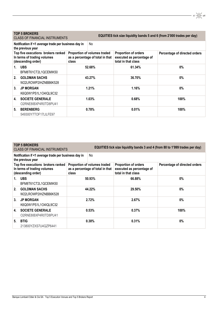|                                                                                         | <b>TOP 5 BROKERS</b><br>CLASS OF FINANCIAL INSTRUMENTS                    | EQUITIES tick size liquidity bands 5 and 6 (from 2'000 trades per day)    |       |                                                                          |                               |
|-----------------------------------------------------------------------------------------|---------------------------------------------------------------------------|---------------------------------------------------------------------------|-------|--------------------------------------------------------------------------|-------------------------------|
|                                                                                         | Notification if <1 average trade per business day in<br>the previous year |                                                                           | No.   |                                                                          |                               |
| Top five executions brokers ranked<br>In terms of trading volumes<br>(descending order) |                                                                           | Proportion of volumes traded<br>as a percentage of total in that<br>class |       | Proportion of orders<br>executed as percentage of<br>total in that class | Percentage of directed orders |
| 1.                                                                                      | <b>UBS</b><br>BFM8T61CT2L1QCEMIK50                                        | 52.68%                                                                    |       | 61.34%                                                                   | 0%                            |
| 2.                                                                                      | <b>GOLDMAN SACHS</b><br>W22LROWP2IHZNBB6K528                              | 43.27%                                                                    |       | 36.70%                                                                   | $0\%$                         |
| 3 <sub>1</sub>                                                                          | <b>JP MORGAN</b><br>K6Q0W1PS1L1O4IQL9C32                                  | 1.21%                                                                     |       | 1.16%                                                                    | $0\%$                         |
| 4.                                                                                      | <b>SOCIETE GENERALE</b><br>O2RNE8IBXP4R0TD8PU41                           |                                                                           | 1.03% | 0.68%                                                                    | 100%                          |
| 5.                                                                                      | <b>BERENBERG</b><br>549300Y7TOF17LILFE97                                  |                                                                           | 0.78% | 0.01%                                                                    | 100%                          |

|                                                                                         | <b>TOP 5 BROKERS</b><br>EQUITIES tick size liquidity bands 3 and 4 (from 80 to 1'999 trades per day)<br><b>CLASS OF FINANCIAL INSTRUMENTS</b> |                                                                                         |                                                                                 |                               |  |  |  |  |  |
|-----------------------------------------------------------------------------------------|-----------------------------------------------------------------------------------------------------------------------------------------------|-----------------------------------------------------------------------------------------|---------------------------------------------------------------------------------|-------------------------------|--|--|--|--|--|
|                                                                                         | Notification if <1 average trade per business day in<br>No.<br>the previous year                                                              |                                                                                         |                                                                                 |                               |  |  |  |  |  |
| Top five executions brokers ranked<br>In terms of trading volumes<br>(descending order) |                                                                                                                                               | <b>Proportion of volumes traded</b><br>as a percentage of total in that<br><b>class</b> | <b>Proportion of orders</b><br>executed as percentage of<br>total in that class | Percentage of directed orders |  |  |  |  |  |
| 1.                                                                                      | <b>UBS</b><br>BFM8T61CT2L1QCEMIK50                                                                                                            | 50.93%                                                                                  | 66.88%                                                                          | $0\%$                         |  |  |  |  |  |
| 2 <sub>1</sub>                                                                          | <b>GOLDMAN SACHS</b><br>W22LROWP2IHZNBB6K528                                                                                                  | 44.22%                                                                                  | 29.50%                                                                          | $0\%$                         |  |  |  |  |  |
| 3.                                                                                      | <b>JP MORGAN</b><br>K6Q0W1PS1L1O4IQL9C32                                                                                                      | 2.72%                                                                                   | 2.67%                                                                           | $0\%$                         |  |  |  |  |  |
| 4.                                                                                      | <b>SOCIETE GENERALE</b><br>O2RNE8IBXP4R0TD8PU41                                                                                               | 0.53%                                                                                   | 0.37%                                                                           | 100%                          |  |  |  |  |  |
| 5.                                                                                      | <b>BTIG</b><br>213800YZXS7U4QZP6441                                                                                                           | 0.38%                                                                                   | 0.31%                                                                           | $0\%$                         |  |  |  |  |  |

 $17 \frac{12}{100} \frac{6}{100} \frac{6}{100}$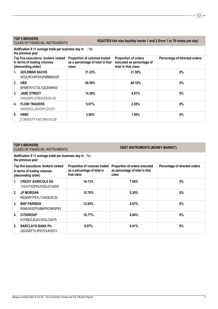|                                                                                                  | <b>TOP 5 BROKERS</b><br><b>CLASS OF FINANCIAL INSTRUMENTS</b> |        |                                                                  | EQUITIES tick size liquidity bands 1 and 2 (from 1 to 79 trades per day)        |                               |  |  |  |
|--------------------------------------------------------------------------------------------------|---------------------------------------------------------------|--------|------------------------------------------------------------------|---------------------------------------------------------------------------------|-------------------------------|--|--|--|
| Notification if <1 average trade per business day in<br>No.<br>the previous year                 |                                                               |        |                                                                  |                                                                                 |                               |  |  |  |
| Top five executions brokers ranked<br>In terms of trading volumes<br>(descending order)<br>class |                                                               |        | Proportion of volumes traded<br>as a percentage of total in that | <b>Proportion of orders</b><br>executed as percentage of<br>total in that class | Percentage of directed orders |  |  |  |
| 1.                                                                                               | <b>GOLDMAN SACHS</b><br>W22LROWP2IHZNBB6K528                  | 31.23% |                                                                  | 31.38%                                                                          | $0\%$                         |  |  |  |
| 2.                                                                                               | <b>UBS</b><br>BFM8T61CT2L1QCEMIK50                            | 26.59% |                                                                  | 48.10%                                                                          | $0\%$                         |  |  |  |
| 3.                                                                                               | <b>JANE STREET</b><br>549300PLG7B3OQH3LI30                    | 14.28% |                                                                  | 4.01%                                                                           | 0%                            |  |  |  |
| 4.                                                                                               | <b>FLOW TRADERS</b><br>549300CLJI9XDH12XV51                   | 9.67%  |                                                                  | 2.85%                                                                           | $0\%$                         |  |  |  |
| 5.                                                                                               | <b>HSBC</b>                                                   | 3.50%  |                                                                  | 1.40%                                                                           | $0\%$                         |  |  |  |

213800CFYTAE19NXXG38

|                                                                                         | <b>TOP 5 BROKERS</b><br><b>DEBT INSTRUMENTS (MONEY MARKET)</b><br><b>CLASS OF FINANCIAL INSTRUMENTS</b> |                                                                           |          |                                                                          |                               |  |  |  |
|-----------------------------------------------------------------------------------------|---------------------------------------------------------------------------------------------------------|---------------------------------------------------------------------------|----------|--------------------------------------------------------------------------|-------------------------------|--|--|--|
|                                                                                         | Notification if <1 average trade per business day in<br>the previous year                               |                                                                           | No.      |                                                                          |                               |  |  |  |
| Top five executions brokers ranked<br>In terms of trading volumes<br>(descending order) |                                                                                                         | Proportion of volumes traded<br>as a percentage of total in<br>that class |          | Proportion of orders executed<br>as percentage of total in that<br>class | Percentage of directed orders |  |  |  |
| 1.                                                                                      | <b>CREDIT AGRICOLE SA</b><br>1VUV7VQFKUOQSJ21A208                                                       | 14.13%                                                                    |          | 7.94%                                                                    | $0\%$                         |  |  |  |
| 2.                                                                                      | <b>JP MORGAN</b><br>K6Q0W1PS1L1O4IQL9C32                                                                | 12.70%                                                                    |          | 5.30%                                                                    | $0\%$                         |  |  |  |
| 3 <sub>1</sub>                                                                          | <b>BNP PARIBAS</b><br>R0MUWSFPU8MPRO8K5P83                                                              | 12.05%                                                                    |          | 5.67%                                                                    | $0\%$                         |  |  |  |
| 4.                                                                                      | <b>CITIGROUP</b><br>N1FBEDJ5J41VKZLO2475                                                                | 10.77%                                                                    |          | 6.94%                                                                    | $0\%$                         |  |  |  |
| 5.                                                                                      | <b>BARCLAYS BANK PIC</b><br>G5GSEF7VJP5I7OUK5573                                                        |                                                                           | $8.07\%$ | 4.41%                                                                    | $0\%$                         |  |  |  |

 $17 \frac{11}{200} \frac{1}{200}$  96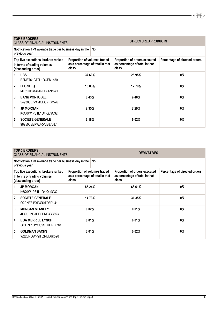| <b>TOP 5 BROKERS</b><br><b>CLASS OF FINANCIAL INSTRUMENTS</b>                           |                                                                           |                                                                           |        | <b>STRUCTURED PRODUCTS</b>                                               |                               |  |
|-----------------------------------------------------------------------------------------|---------------------------------------------------------------------------|---------------------------------------------------------------------------|--------|--------------------------------------------------------------------------|-------------------------------|--|
|                                                                                         | Notification if <1 average trade per business day in the<br>previous year |                                                                           | No     |                                                                          |                               |  |
| Top five executions brokers ranked<br>In terms of trading volumes<br>(descending order) |                                                                           | Proportion of volumes traded<br>as a percentage of total in that<br>class |        | Proportion of orders executed<br>as percentage of total in that<br>class | Percentage of directed orders |  |
| 1.                                                                                      | <b>UBS</b><br>BFM8T61CT2L1QCEMIK50                                        | 37.60%                                                                    |        | 25.95%                                                                   | 0%                            |  |
| 2.                                                                                      | <b>LEONTEQ</b><br>ML61HP3A4MKTTA1ZB671                                    |                                                                           | 13.03% | 12.79%                                                                   | $0\%$                         |  |
| 3.                                                                                      | <b>BANK VONTOBEL</b><br>549300L7V4MGECYRM576                              |                                                                           | 8.43%  | 9.40%                                                                    | <b>0%</b>                     |  |
| 4.                                                                                      | <b>JP MORGAN</b><br>K6Q0W1PS1L1O4IQL9C32                                  | 7.35%                                                                     |        | 7.29%                                                                    | <b>0%</b>                     |  |
| 5.                                                                                      | <b>SOCIETE GENERALE</b><br>969500BBKWJRVJB87687                           | 7.18%                                                                     |        | 6.02%                                                                    | $0\%$                         |  |

| <b>TOP 5 BROKERS</b><br><b>DERIVATIVES</b><br><b>CLASS OF FINANCIAL INSTRUMENTS</b>     |                                                                           |                                                                           |     |                                                                          |                               |  |
|-----------------------------------------------------------------------------------------|---------------------------------------------------------------------------|---------------------------------------------------------------------------|-----|--------------------------------------------------------------------------|-------------------------------|--|
|                                                                                         | Notification if <1 average trade per business day in the<br>previous year |                                                                           | No. |                                                                          |                               |  |
| Top five executions brokers ranked<br>In terms of trading volumes<br>(descending order) |                                                                           | Proportion of volumes traded<br>as a percentage of total in that<br>class |     | Proportion of orders executed<br>as percentage of total in that<br>class | Percentage of directed orders |  |
| 1.                                                                                      | <b>JP MORGAN</b><br>K6Q0W1PS1L1O4IQL9C32                                  | 85.24%                                                                    |     | 68.61%                                                                   | 0%                            |  |
| 2.                                                                                      | <b>SOCIETE GENERALE</b><br>O2RNE8IBXP4R0TD8PU41                           | 14.73%                                                                    |     | 31.35%                                                                   | 0%                            |  |
| 3.                                                                                      | <b>MORGAN STANLEY</b><br>4PQUHN3JPFGFNF3BB653                             | 0.02%                                                                     |     | 0.01%                                                                    | 0%                            |  |
| 4.                                                                                      | <b>BOA MERRILL LYNCH</b><br>GGDZP1UYGU9STUHRDP48                          | 0.01%                                                                     |     | 0.01%                                                                    | 0%                            |  |
| 5.                                                                                      | <b>GOLDMAN SACHS</b><br>W22LROWP2IHZNBB6K528                              | 0.01%                                                                     |     | 0.02%                                                                    | 0%                            |  |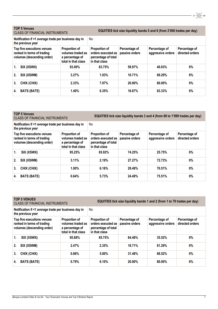## **TOP 5 Venues**

EQUITIES tick size liquidity bands 5 and 6 (from 2'000 trades per day)

 $17 \frac{11}{200} \frac{6}{50}$  96

**Notification if <1 average trade per business day in the previous year** No **Top five executions venues ranked in terms of trading volumes (descending order) Proportion of volumes traded as a percentage of total in that class Proportion of orders executed as percentage of total in that class Percentage of passive orders Percentage of aggressive orders Percentage of directed orders 1. SIX (XSWX) 93.00% 83.75% 59.97% 40.03% 0% 2. SIX (XSWM) 3.27% 1.93% 10.71% 89.29% 0% 3. CHIX (CHIX) 2.33% 7.97% 20.00% 80.00% 0% 4. BATS (BATE) 1.40% 6.35% 16.67% 83.33% 0%**

|                                                                                        | <b>TOP 5 Venues</b> | EQUITIES tick size liquidity bands 3 and 4 (from 80 to 1'999 trades per day)<br><b>CLASS OF FINANCIAL INSTRUMENTS</b> |                                                                             |                                 |                                    |                                  |  |
|----------------------------------------------------------------------------------------|---------------------|-----------------------------------------------------------------------------------------------------------------------|-----------------------------------------------------------------------------|---------------------------------|------------------------------------|----------------------------------|--|
| Notification if <1 average trade per business day in<br>the previous year              |                     |                                                                                                                       | No                                                                          |                                 |                                    |                                  |  |
| Top five executions venues<br>ranked in terms of trading<br>volumes (descending order) |                     | Proportion of<br>volumes traded as<br>a percentage of<br>total in that class                                          | Proportion of<br>orders executed as<br>percentage of total<br>in that class | Percentage of<br>passive orders | Percentage of<br>aggressive orders | Percentage of<br>directed orders |  |
| 1.                                                                                     | SIX (XSWX)          | 95.25%                                                                                                                | 85.92%                                                                      | 74.25%                          | 25.75%                             | $0\%$                            |  |
| 2.                                                                                     | SIX (XSWM)          | 3.11%                                                                                                                 | 2.19%                                                                       | 27.27%                          | 72.73%                             | $0\%$                            |  |
| 3.                                                                                     | CHIX (CHIX)         | 1.00%                                                                                                                 | 6.16%                                                                       | 29.49%                          | 70.51%                             | 0%                               |  |
| 4.                                                                                     | <b>BATS (BATE)</b>  | 0.64%                                                                                                                 | 5.73%                                                                       | 24.49%                          | 75.51%                             | $0\%$                            |  |

## **TOP 5 VENUES**

| IUP 3 VENUES<br><b>CLASS OF FINANCIAL INSTRUMENTS</b>                                  |                                                                                     | EQUITIES tick size liquidity bands 1 and 2 (from 1 to 79 trades per day)    |                                 |                                    |                                  |  |  |
|----------------------------------------------------------------------------------------|-------------------------------------------------------------------------------------|-----------------------------------------------------------------------------|---------------------------------|------------------------------------|----------------------------------|--|--|
| Notification if <1 average trade per business day in<br>the previous year              |                                                                                     | No.                                                                         |                                 |                                    |                                  |  |  |
| Top five executions venues<br>ranked in terms of trading<br>volumes (descending order) | <b>Proportion of</b><br>volumes traded as<br>a percentage of<br>total in that class | Proportion of<br>orders executed as<br>percentage of total<br>in that class | Percentage of<br>passive orders | Percentage of<br>aggressive orders | Percentage of<br>directed orders |  |  |
| SIX (XSWX)<br>1.                                                                       | 95.88%                                                                              | 85.75%                                                                      | 64.48%                          | 35.52%                             | $0\%$                            |  |  |
| SIX (XSWM)<br>2.                                                                       | 2.47%                                                                               | 2.35%                                                                       | 18.71%                          | 81.29%                             | $0\%$                            |  |  |
| CHIX (CHIX)<br>3.                                                                      | 0.86%                                                                               | 5.80%                                                                       | 31.48%                          | 68.52%                             | $0\%$                            |  |  |
| <b>BATS (BATE)</b><br>4.                                                               | 0.79%                                                                               | 6.10%                                                                       | 20.00%                          | 80.00%                             | $0\%$                            |  |  |